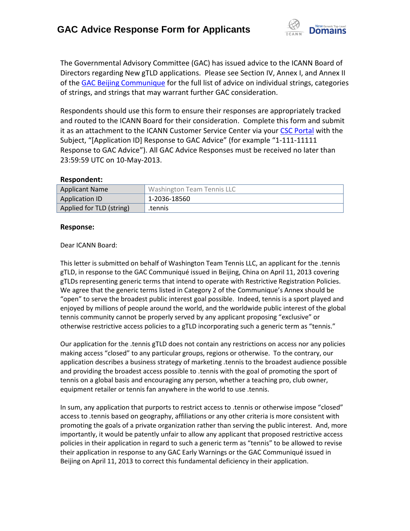

The Governmental Advisory Committee (GAC) has issued advice to the ICANN Board of Directors regarding New gTLD applications. Please see Section IV, Annex I, and Annex II of th[e GAC Beijing Communique](http://www.icann.org/en/news/correspondence/gac-to-board-18apr13-en.pdf) for the full list of advice on individual strings, categories of strings, and strings that may warrant further GAC consideration.

Respondents should use this form to ensure their responses are appropriately tracked and routed to the ICANN Board for their consideration. Complete this form and submit it as an attachment to the ICANN Customer Service Center via your CSC [Portal](https://myicann.secure.force.com/) with the Subject, "[Application ID] Response to GAC Advice" (for example "1-111-11111 Response to GAC Advice"). All GAC Advice Responses must be received no later than 23:59:59 UTC on 10-May-2013.

## **Respondent:**

| <b>Applicant Name</b>    | <b>Washington Team Tennis LLC</b> |
|--------------------------|-----------------------------------|
| <b>Application ID</b>    | 1-2036-18560                      |
| Applied for TLD (string) | tennis.                           |

## **Response:**

## Dear ICANN Board:

This letter is submitted on behalf of Washington Team Tennis LLC, an applicant for the .tennis gTLD, in response to the GAC Communiqué issued in Beijing, China on April 11, 2013 covering gTLDs representing generic terms that intend to operate with Restrictive Registration Policies. We agree that the generic terms listed in Category 2 of the Communique's Annex should be "open" to serve the broadest public interest goal possible. Indeed, tennis is a sport played and enjoyed by millions of people around the world, and the worldwide public interest of the global tennis community cannot be properly served by any applicant proposing "exclusive" or otherwise restrictive access policies to a gTLD incorporating such a generic term as "tennis."

Our application for the .tennis gTLD does not contain any restrictions on access nor any policies making access "closed" to any particular groups, regions or otherwise. To the contrary, our application describes a business strategy of marketing .tennis to the broadest audience possible and providing the broadest access possible to .tennis with the goal of promoting the sport of tennis on a global basis and encouraging any person, whether a teaching pro, club owner, equipment retailer or tennis fan anywhere in the world to use .tennis.

In sum, any application that purports to restrict access to .tennis or otherwise impose "closed" access to .tennis based on geography, affiliations or any other criteria is more consistent with promoting the goals of a private organization rather than serving the public interest. And, more importantly, it would be patently unfair to allow any applicant that proposed restrictive access policies in their application in regard to such a generic term as "tennis" to be allowed to revise their application in response to any GAC Early Warnings or the GAC Communiqué issued in Beijing on April 11, 2013 to correct this fundamental deficiency in their application.